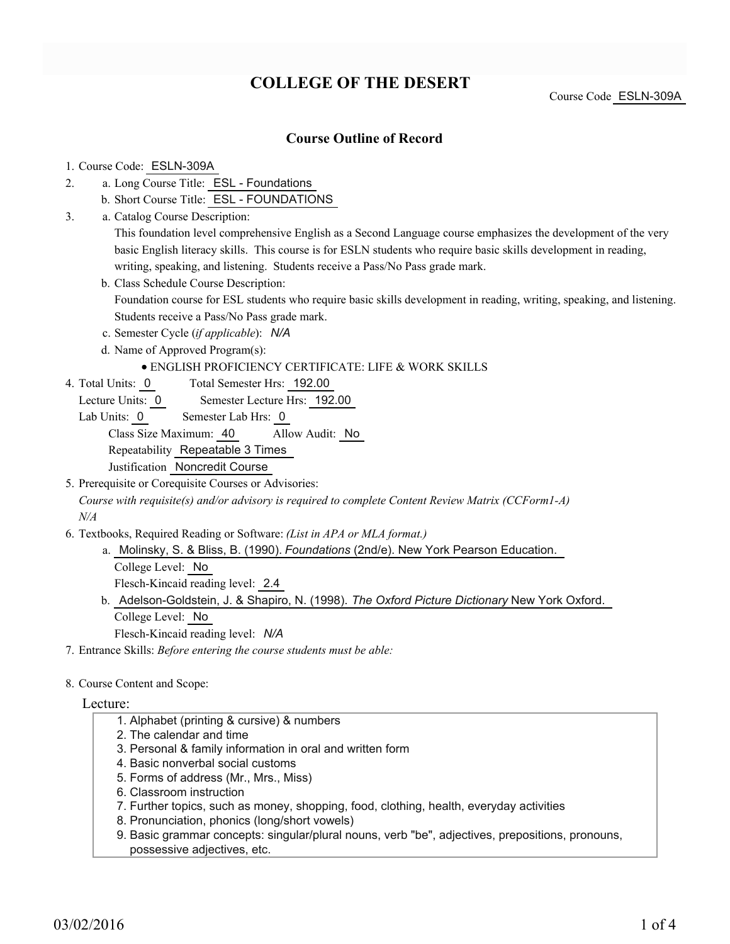# **COLLEGE OF THE DESERT**

Course Code ESLN-309A

# **Course Outline of Record**

#### 1. Course Code: ESLN-309A

- a. Long Course Title: ESL Foundations 2.
	- b. Short Course Title: ESL FOUNDATIONS
- Catalog Course Description: a. 3.

This foundation level comprehensive English as a Second Language course emphasizes the development of the very basic English literacy skills. This course is for ESLN students who require basic skills development in reading, writing, speaking, and listening. Students receive a Pass/No Pass grade mark.

- b. Class Schedule Course Description: Foundation course for ESL students who require basic skills development in reading, writing, speaking, and listening. Students receive a Pass/No Pass grade mark.
- c. Semester Cycle (*if applicable*): *N/A*
- d. Name of Approved Program(s):

### ENGLISH PROFICIENCY CERTIFICATE: LIFE & WORK SKILLS

- Total Semester Hrs: 192.00 4. Total Units: 0
	- Lecture Units: 0 Semester Lecture Hrs: 192.00
	- Lab Units: 0 Semester Lab Hrs: 0

Class Size Maximum: 40 Allow Audit: No

Repeatability Repeatable 3 Times

Justification Noncredit Course

- 5. Prerequisite or Corequisite Courses or Advisories: *Course with requisite(s) and/or advisory is required to complete Content Review Matrix (CCForm1-A) N/A*
- Textbooks, Required Reading or Software: *(List in APA or MLA format.)* 6.
	- a. Molinsky, S. & Bliss, B. (1990). *Foundations* (2nd/e). New York Pearson Education. College Level: No Flesch-Kincaid reading level: 2.4
	- b. Adelson-Goldstein, J. & Shapiro, N. (1998). The Oxford Picture Dictionary New York Oxford. College Level: No Flesch-Kincaid reading level: *N/A*
	-
- 7. Entrance Skills: *Before entering the course students must be able:*
- 8. Course Content and Scope:

#### Lecture:

- 1. Alphabet (printing & cursive) & numbers
- 2. The calendar and time
- 3. Personal & family information in oral and written form
- 4. Basic nonverbal social customs
- 5. Forms of address (Mr., Mrs., Miss)
- 6. Classroom instruction
- 7. Further topics, such as money, shopping, food, clothing, health, everyday activities
- 8. Pronunciation, phonics (long/short vowels)
- 9. Basic grammar concepts: singular/plural nouns, verb "be", adjectives, prepositions, pronouns, possessive adjectives, etc.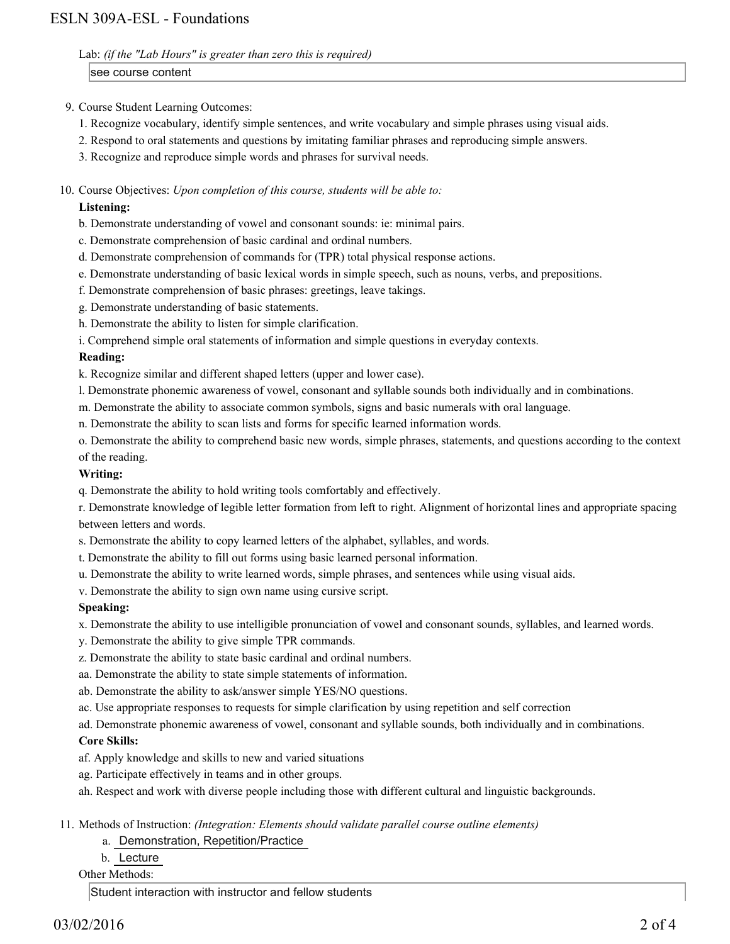Lab: *(if the "Lab Hours" is greater than zero this is required)*

see course content

- 9. Course Student Learning Outcomes:
	- 1. Recognize vocabulary, identify simple sentences, and write vocabulary and simple phrases using visual aids.
	- 2. Respond to oral statements and questions by imitating familiar phrases and reproducing simple answers.
	- 3. Recognize and reproduce simple words and phrases for survival needs.
- 10. Course Objectives: Upon completion of this course, students will be able to:

# **Listening:**

- b. Demonstrate understanding of vowel and consonant sounds: ie: minimal pairs.
- c. Demonstrate comprehension of basic cardinal and ordinal numbers.
- d. Demonstrate comprehension of commands for (TPR) total physical response actions.
- e. Demonstrate understanding of basic lexical words in simple speech, such as nouns, verbs, and prepositions.
- f. Demonstrate comprehension of basic phrases: greetings, leave takings.
- g. Demonstrate understanding of basic statements.
- h. Demonstrate the ability to listen for simple clarification.
- i. Comprehend simple oral statements of information and simple questions in everyday contexts.

#### **Reading:**

k. Recognize similar and different shaped letters (upper and lower case).

- l. Demonstrate phonemic awareness of vowel, consonant and syllable sounds both individually and in combinations.
- m. Demonstrate the ability to associate common symbols, signs and basic numerals with oral language.
- n. Demonstrate the ability to scan lists and forms for specific learned information words.

o. Demonstrate the ability to comprehend basic new words, simple phrases, statements, and questions according to the context of the reading.

#### **Writing:**

q. Demonstrate the ability to hold writing tools comfortably and effectively.

r. Demonstrate knowledge of legible letter formation from left to right. Alignment of horizontal lines and appropriate spacing between letters and words.

- s. Demonstrate the ability to copy learned letters of the alphabet, syllables, and words.
- t. Demonstrate the ability to fill out forms using basic learned personal information.
- u. Demonstrate the ability to write learned words, simple phrases, and sentences while using visual aids.
- v. Demonstrate the ability to sign own name using cursive script.

# **Speaking:**

x. Demonstrate the ability to use intelligible pronunciation of vowel and consonant sounds, syllables, and learned words.

- y. Demonstrate the ability to give simple TPR commands.
- z. Demonstrate the ability to state basic cardinal and ordinal numbers.
- aa. Demonstrate the ability to state simple statements of information.
- ab. Demonstrate the ability to ask/answer simple YES/NO questions.
- ac. Use appropriate responses to requests for simple clarification by using repetition and self correction

ad. Demonstrate phonemic awareness of vowel, consonant and syllable sounds, both individually and in combinations. **Core Skills:**

- af. Apply knowledge and skills to new and varied situations
- ag. Participate effectively in teams and in other groups.
- ah. Respect and work with diverse people including those with different cultural and linguistic backgrounds.

#### Methods of Instruction: *(Integration: Elements should validate parallel course outline elements)* 11.

# a. Demonstration, Repetition/Practice

b. Lecture

# Other Methods:

Student interaction with instructor and fellow students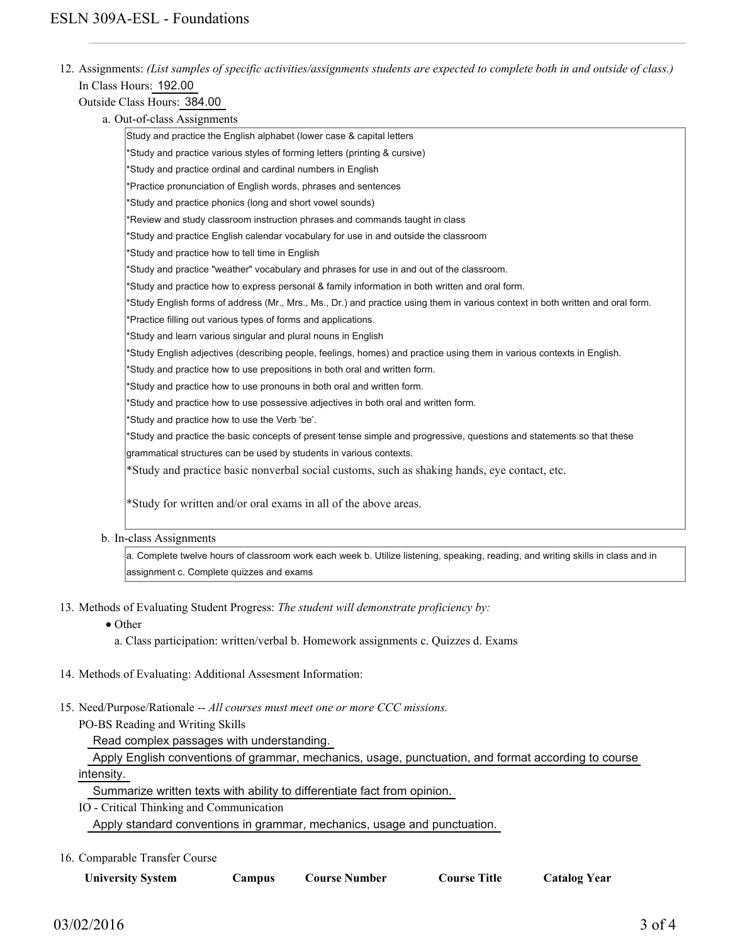12. Assignments: (List samples of specific activities/assignments students are expected to complete both in and outside of class.) In Class Hours: 192.00

### Outside Class Hours: 384.00

a. Out-of-class Assignments

| Study and practice the English alphabet (lower case & capital letters                                                           |  |  |  |  |
|---------------------------------------------------------------------------------------------------------------------------------|--|--|--|--|
| *Study and practice various styles of forming letters (printing & cursive)                                                      |  |  |  |  |
| *Study and practice ordinal and cardinal numbers in English                                                                     |  |  |  |  |
| *Practice pronunciation of English words, phrases and sentences                                                                 |  |  |  |  |
| *Study and practice phonics (long and short vowel sounds)                                                                       |  |  |  |  |
| *Review and study classroom instruction phrases and commands taught in class                                                    |  |  |  |  |
| *Study and practice English calendar vocabulary for use in and outside the classroom                                            |  |  |  |  |
| *Study and practice how to tell time in English                                                                                 |  |  |  |  |
| *Study and practice "weather" vocabulary and phrases for use in and out of the classroom.                                       |  |  |  |  |
| *Study and practice how to express personal & family information in both written and oral form.                                 |  |  |  |  |
| *Study English forms of address (Mr., Mrs., Ms., Dr.) and practice using them in various context in both written and oral form. |  |  |  |  |
| *Practice filling out various types of forms and applications.                                                                  |  |  |  |  |
| *Study and learn various singular and plural nouns in English                                                                   |  |  |  |  |
| *Study English adjectives (describing people, feelings, homes) and practice using them in various contexts in English.          |  |  |  |  |
| *Study and practice how to use prepositions in both oral and written form.                                                      |  |  |  |  |
| *Study and practice how to use pronouns in both oral and written form.                                                          |  |  |  |  |
| *Study and practice how to use possessive adjectives in both oral and written form.                                             |  |  |  |  |
| *Study and practice how to use the Verb 'be'.                                                                                   |  |  |  |  |
| *Study and practice the basic concepts of present tense simple and progressive, questions and statements so that these          |  |  |  |  |
| grammatical structures can be used by students in various contexts.                                                             |  |  |  |  |
| *Study and practice basic nonverbal social customs, such as shaking hands, eye contact, etc.                                    |  |  |  |  |
|                                                                                                                                 |  |  |  |  |
| *Study for written and/or oral exams in all of the above areas.                                                                 |  |  |  |  |
|                                                                                                                                 |  |  |  |  |

b. In-class Assignments

a. Complete twelve hours of classroom work each week b. Utilize listening, speaking, reading, and writing skills in class and in assignment c. Complete quizzes and exams

- 13. Methods of Evaluating Student Progress: The student will demonstrate proficiency by:
	- Other
		- a. Class participation: written/verbal b. Homework assignments c. Quizzes d. Exams
- 14. Methods of Evaluating: Additional Assesment Information:
- 15. Need/Purpose/Rationale -- All courses must meet one or more CCC missions.

PO-BS Reading and Writing Skills

Read complex passages with understanding.

 Apply English conventions of grammar, mechanics, usage, punctuation, and format according to course intensity.

Summarize written texts with ability to differentiate fact from opinion.

IO - Critical Thinking and Communication Apply standard conventions in grammar, mechanics, usage and punctuation.

16. Comparable Transfer Course

| <b>University System</b> | Campus | <b>Course Number</b> | <b>Course Title</b> | <b>Catalog Year</b> |
|--------------------------|--------|----------------------|---------------------|---------------------|
|--------------------------|--------|----------------------|---------------------|---------------------|